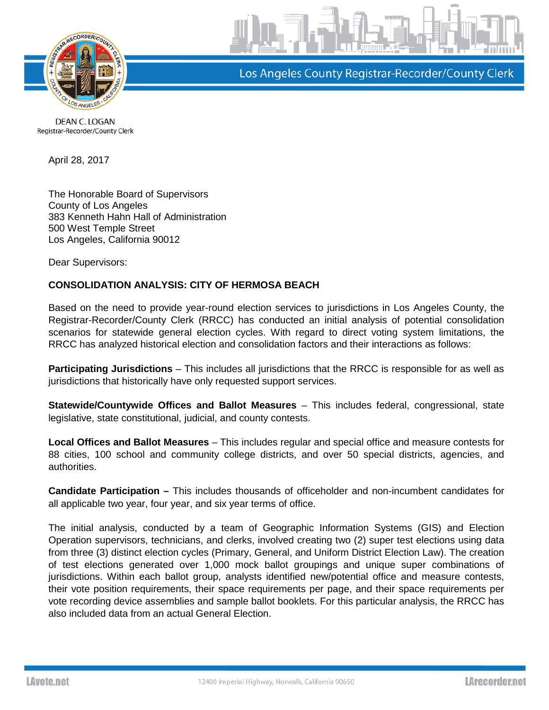

Los Angeles County Registrar-Recorder/County Clerk

DEAN C. LOGAN Registrar-Recorder/County Clerk

April 28, 2017

The Honorable Board of Supervisors County of Los Angeles 383 Kenneth Hahn Hall of Administration 500 West Temple Street Los Angeles, California 90012

Dear Supervisors:

## **CONSOLIDATION ANALYSIS: CITY OF HERMOSA BEACH**

Based on the need to provide year-round election services to jurisdictions in Los Angeles County, the Registrar-Recorder/County Clerk (RRCC) has conducted an initial analysis of potential consolidation scenarios for statewide general election cycles. With regard to direct voting system limitations, the RRCC has analyzed historical election and consolidation factors and their interactions as follows:

**Participating Jurisdictions** – This includes all jurisdictions that the RRCC is responsible for as well as jurisdictions that historically have only requested support services.

**Statewide/Countywide Offices and Ballot Measures** – This includes federal, congressional, state legislative, state constitutional, judicial, and county contests.

**Local Offices and Ballot Measures** – This includes regular and special office and measure contests for 88 cities, 100 school and community college districts, and over 50 special districts, agencies, and authorities.

**Candidate Participation –** This includes thousands of officeholder and non-incumbent candidates for all applicable two year, four year, and six year terms of office.

The initial analysis, conducted by a team of Geographic Information Systems (GIS) and Election Operation supervisors, technicians, and clerks, involved creating two (2) super test elections using data from three (3) distinct election cycles (Primary, General, and Uniform District Election Law). The creation of test elections generated over 1,000 mock ballot groupings and unique super combinations of jurisdictions. Within each ballot group, analysts identified new/potential office and measure contests, their vote position requirements, their space requirements per page, and their space requirements per vote recording device assemblies and sample ballot booklets. For this particular analysis, the RRCC has also included data from an actual General Election.